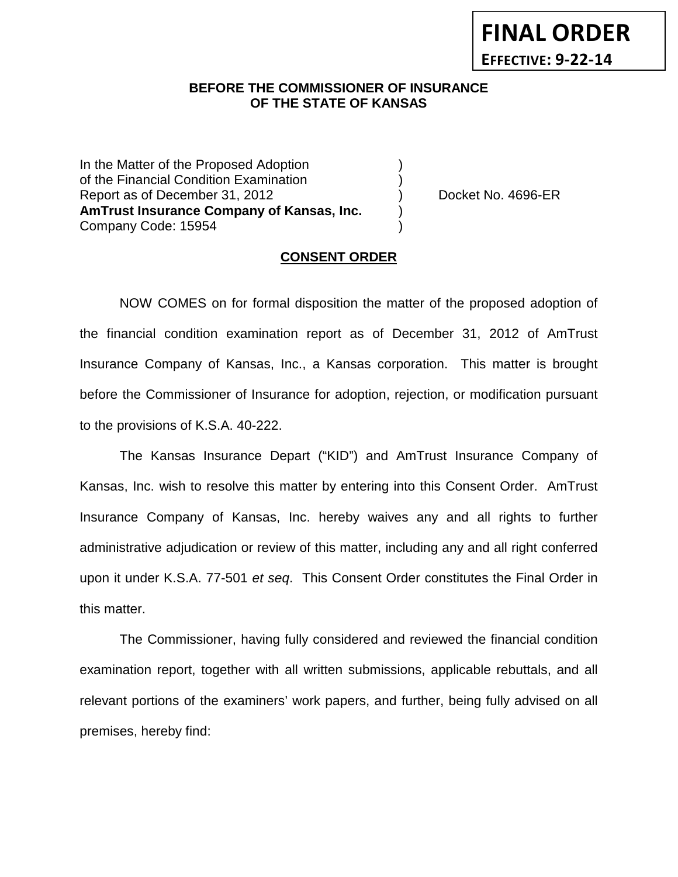# **FINAL ORDER EFFECTIVE: 9-22-14**

# **BEFORE THE COMMISSIONER OF INSURANCE OF THE STATE OF KANSAS**

In the Matter of the Proposed Adoption of the Financial Condition Examination ) Report as of December 31, 2012 (and Separate Leonard Alexander Docket No. 4696-ER **AmTrust Insurance Company of Kansas, Inc.** ) Company Code: 15954 )

#### **CONSENT ORDER**

NOW COMES on for formal disposition the matter of the proposed adoption of the financial condition examination report as of December 31, 2012 of AmTrust Insurance Company of Kansas, Inc., a Kansas corporation. This matter is brought before the Commissioner of Insurance for adoption, rejection, or modification pursuant to the provisions of K.S.A. 40-222.

The Kansas Insurance Depart ("KID") and AmTrust Insurance Company of Kansas, Inc. wish to resolve this matter by entering into this Consent Order. AmTrust Insurance Company of Kansas, Inc. hereby waives any and all rights to further administrative adjudication or review of this matter, including any and all right conferred upon it under K.S.A. 77-501 *et seq*. This Consent Order constitutes the Final Order in this matter.

The Commissioner, having fully considered and reviewed the financial condition examination report, together with all written submissions, applicable rebuttals, and all relevant portions of the examiners' work papers, and further, being fully advised on all premises, hereby find: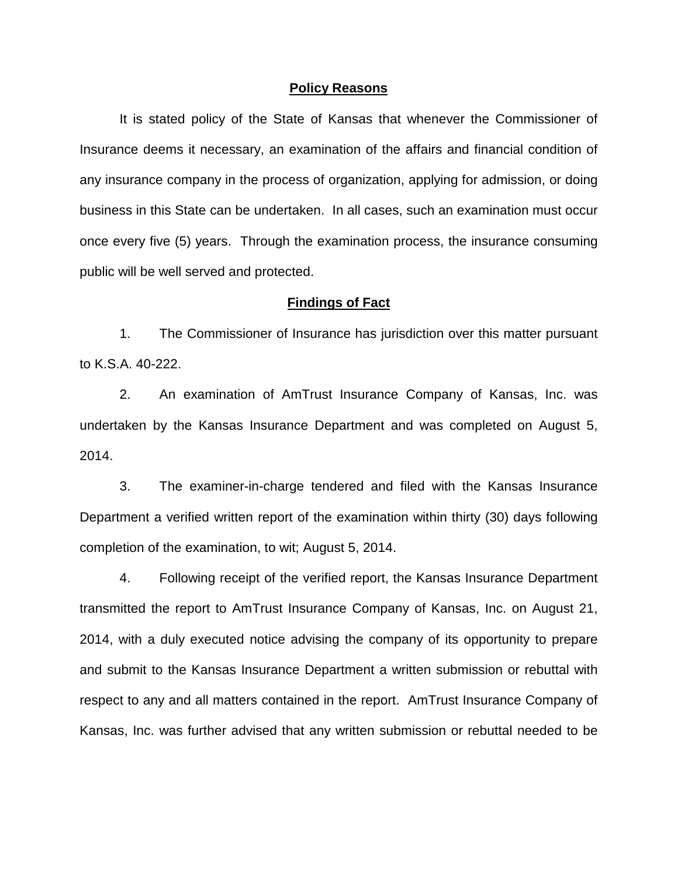#### **Policy Reasons**

It is stated policy of the State of Kansas that whenever the Commissioner of Insurance deems it necessary, an examination of the affairs and financial condition of any insurance company in the process of organization, applying for admission, or doing business in this State can be undertaken. In all cases, such an examination must occur once every five (5) years. Through the examination process, the insurance consuming public will be well served and protected.

#### **Findings of Fact**

1. The Commissioner of Insurance has jurisdiction over this matter pursuant to K.S.A. 40-222.

2. An examination of AmTrust Insurance Company of Kansas, Inc. was undertaken by the Kansas Insurance Department and was completed on August 5, 2014.

3. The examiner-in-charge tendered and filed with the Kansas Insurance Department a verified written report of the examination within thirty (30) days following completion of the examination, to wit; August 5, 2014.

4. Following receipt of the verified report, the Kansas Insurance Department transmitted the report to AmTrust Insurance Company of Kansas, Inc. on August 21, 2014, with a duly executed notice advising the company of its opportunity to prepare and submit to the Kansas Insurance Department a written submission or rebuttal with respect to any and all matters contained in the report. AmTrust Insurance Company of Kansas, Inc. was further advised that any written submission or rebuttal needed to be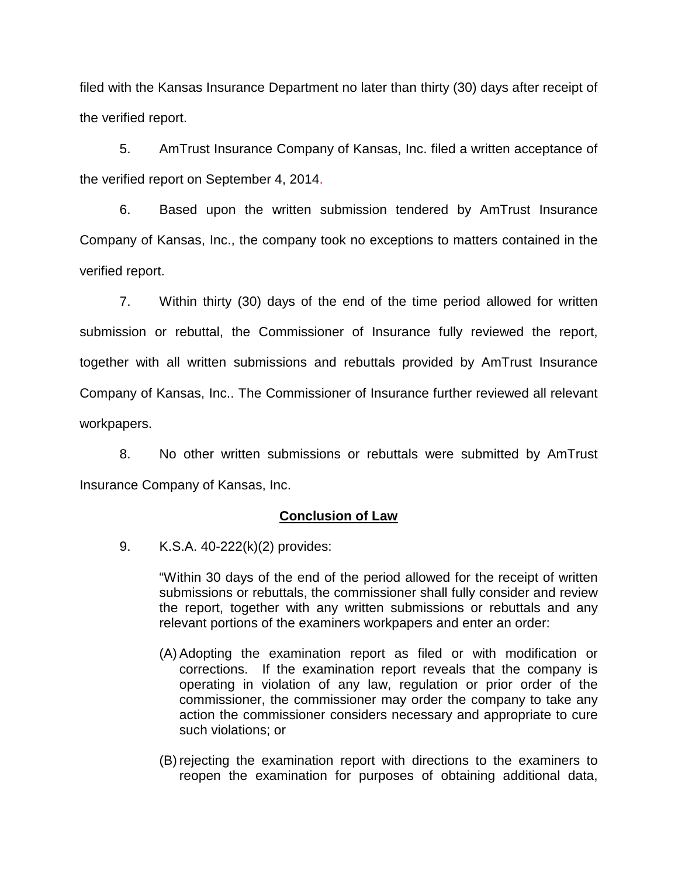filed with the Kansas Insurance Department no later than thirty (30) days after receipt of the verified report.

5. AmTrust Insurance Company of Kansas, Inc. filed a written acceptance of the verified report on September 4, 2014.

6. Based upon the written submission tendered by AmTrust Insurance Company of Kansas, Inc., the company took no exceptions to matters contained in the verified report.

7. Within thirty (30) days of the end of the time period allowed for written submission or rebuttal, the Commissioner of Insurance fully reviewed the report, together with all written submissions and rebuttals provided by AmTrust Insurance Company of Kansas, Inc.. The Commissioner of Insurance further reviewed all relevant workpapers.

8. No other written submissions or rebuttals were submitted by AmTrust Insurance Company of Kansas, Inc.

# **Conclusion of Law**

9. K.S.A. 40-222(k)(2) provides:

"Within 30 days of the end of the period allowed for the receipt of written submissions or rebuttals, the commissioner shall fully consider and review the report, together with any written submissions or rebuttals and any relevant portions of the examiners workpapers and enter an order:

- (A) Adopting the examination report as filed or with modification or corrections. If the examination report reveals that the company is operating in violation of any law, regulation or prior order of the commissioner, the commissioner may order the company to take any action the commissioner considers necessary and appropriate to cure such violations; or
- (B) rejecting the examination report with directions to the examiners to reopen the examination for purposes of obtaining additional data,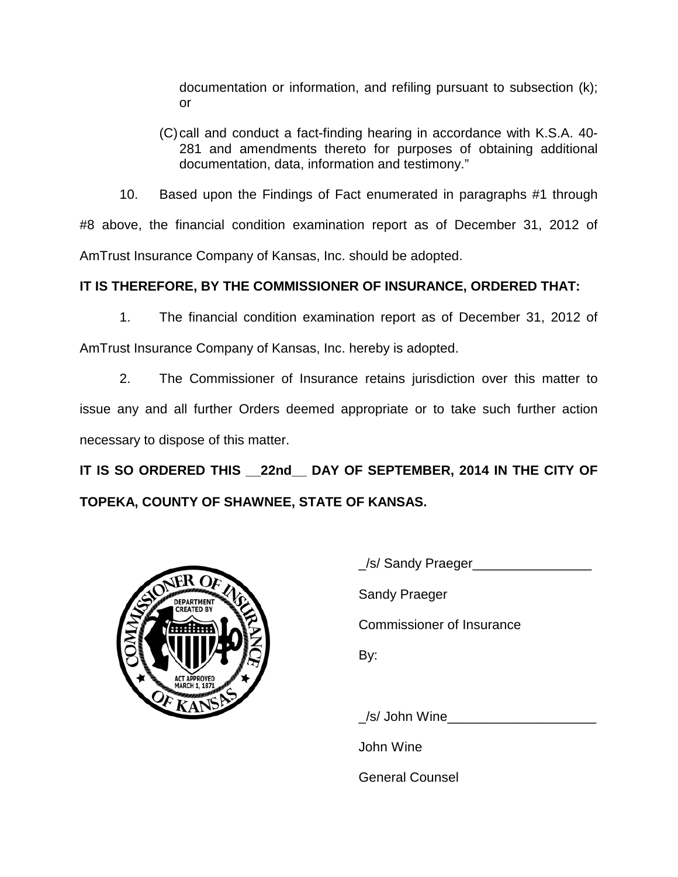documentation or information, and refiling pursuant to subsection (k); or

(C)call and conduct a fact-finding hearing in accordance with K.S.A. 40- 281 and amendments thereto for purposes of obtaining additional documentation, data, information and testimony."

10. Based upon the Findings of Fact enumerated in paragraphs #1 through #8 above, the financial condition examination report as of December 31, 2012 of AmTrust Insurance Company of Kansas, Inc. should be adopted.

# **IT IS THEREFORE, BY THE COMMISSIONER OF INSURANCE, ORDERED THAT:**

1. The financial condition examination report as of December 31, 2012 of

AmTrust Insurance Company of Kansas, Inc. hereby is adopted.

2. The Commissioner of Insurance retains jurisdiction over this matter to issue any and all further Orders deemed appropriate or to take such further action necessary to dispose of this matter.

**IT IS SO ORDERED THIS \_\_22nd\_\_ DAY OF SEPTEMBER, 2014 IN THE CITY OF TOPEKA, COUNTY OF SHAWNEE, STATE OF KANSAS.**



| S/ Sandy Praeger          |
|---------------------------|
| <b>Sandy Praeger</b>      |
| Commissioner of Insurance |
| By:                       |
|                           |

\_/s/ John Wine\_\_\_\_\_\_\_\_\_\_\_\_\_\_\_\_\_\_\_\_

John Wine

General Counsel